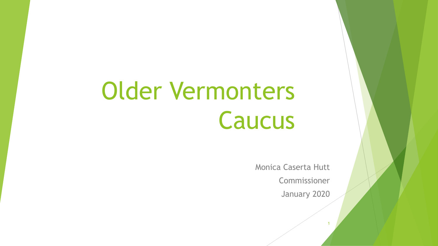# Older Vermonters Caucus

Monica Caserta Hutt

Commissioner

January 2020

1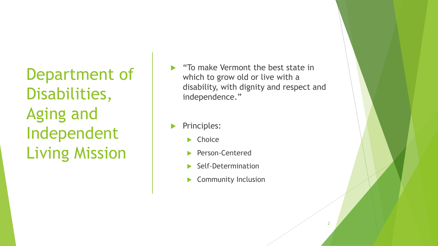Department of Disabilities, Aging and Independent Living Mission

- "To make Vermont the best state in which to grow old or live with a disability, with dignity and respect and independence."
- Principles:
	- $\blacktriangleright$  Choice
	- Person-Centered
	- Self-Determination
	- Community Inclusion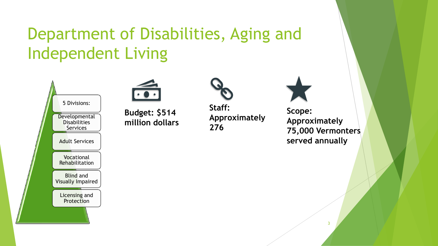## Department of Disabilities, Aging and Independent Living





**Budget: \$514 million dollars** 



**Staff: Approximately 276** 



**Scope: Approximately 75,000 Vermonters served annually**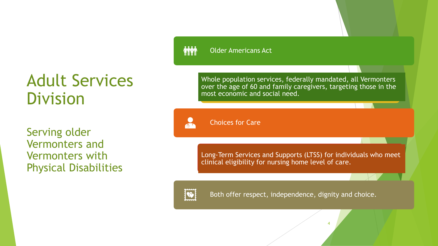#### Adult Services Division

Serving older Vermonters and Vermonters with Physical Disabilities

#### **MM** Older Americans Act

Whole population services, federally mandated, all Vermonters over the age of 60 and family caregivers, targeting those in the most economic and social need.

Choices for Care

Long-Term Services and Supports (LTSS) for individuals who meet clinical eligibility for nursing home level of care.

4



 $\overline{0}$ 

Both offer respect, independence, dignity and choice.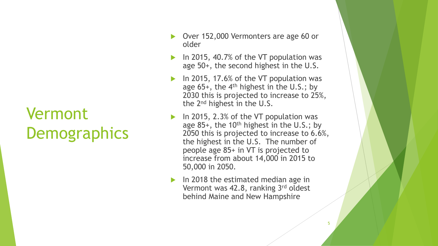### Vermont **Demographics**

- ▶ Over 152,000 Vermonters are age 60 or older
- In 2015, 40.7% of the VT population was age 50+, the second highest in the U.S.
- In 2015, 17.6% of the VT population was age  $65+$ , the  $4<sup>th</sup>$  highest in the U.S.; by 2030 this is projected to increase to 25%, the 2nd highest in the U.S.
- In 2015, 2.3% of the VT population was age 85+, the 10<sup>th</sup> highest in the U.S.; by 2050 this is projected to increase to 6.6%, the highest in the U.S. The number of people age 85+ in VT is projected to increase from about 14,000 in 2015 to 50,000 in 2050.
- In 2018 the estimated median age in Vermont was 42.8, ranking 3rd oldest behind Maine and New Hampshire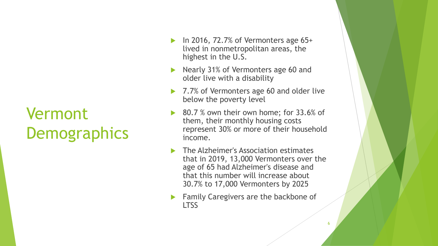## Vermont **Demographics**

- In 2016, 72.7% of Vermonters age 65+ lived in nonmetropolitan areas, the highest in the U.S.
- Nearly 31% of Vermonters age 60 and older live with a disability
- 7.7% of Vermonters age 60 and older live below the poverty level
- 80.7 % own their own home; for 33.6% of them, their monthly housing costs represent 30% or more of their household income.
- The Alzheimer's Association estimates that in 2019, 13,000 Vermonters over the age of 65 had Alzheimer's disease and that this number will increase about 30.7% to 17,000 Vermonters by 2025
- **Family Caregivers are the backbone of** LTSS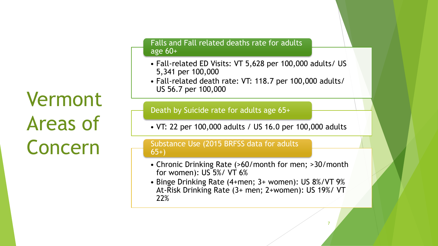Vermont Areas of Concern

#### Falls and Fall related deaths rate for adults age 60+

- Fall-related ED Visits: VT 5,628 per 100,000 adults/ US 5,341 per 100,000
- Fall-related death rate: VT: 118.7 per 100,000 adults/ US 56.7 per 100,000

Death by Suicide rate for adults age 65+

• VT: 22 per 100,000 adults / US 16.0 per 100,000 adults

#### Substance Use (2015 BRFSS data for adults 65+)

- Chronic Drinking Rate (>60/month for men; >30/month for women): US 5%/ VT 6%
- Binge Drinking Rate (4+men; 3+ women): US 8%/VT 9% At-Risk Drinking Rate (3+ men; 2+women): US 19%/ VT 22%

7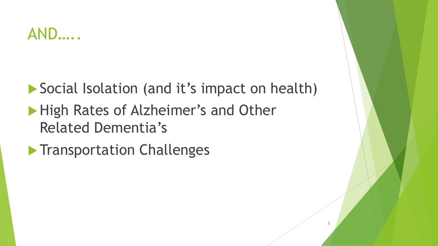#### AND…..

Social Isolation (and it's impact on health)

- High Rates of Alzheimer's and Other Related Dementia's
- **Transportation Challenges**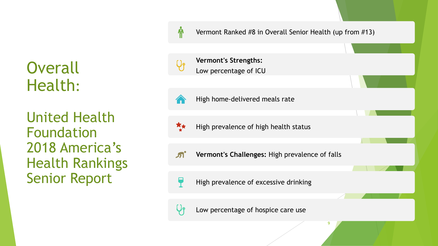**Overall** Health:

United Health Foundation 2018 America's Health Rankings Senior Report

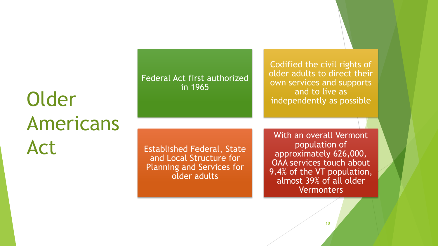## Older Americans Act

Federal Act first authorized in 1965

Codified the civil rights of older adults to direct their own services and supports and to live as independently as possible

Established Federal, State and Local Structure for Planning and Services for older adults

With an overall Vermont population of approximately 626,000, OAA services touch about 9.4% of the VT population, almost 39% of all older **Vermonters**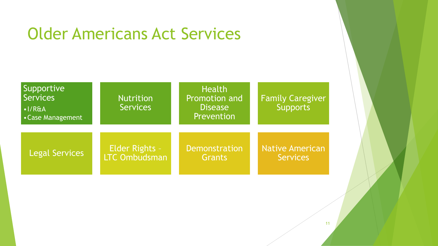#### Older Americans Act Services

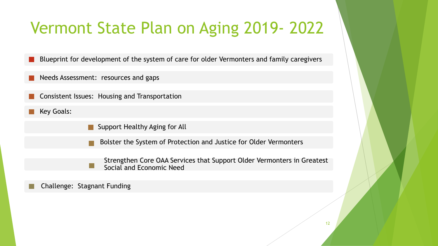### Vermont State Plan on Aging 2019- 2022

Blueprint for development of the system of care for older Vermonters and family caregivers

- Needs Assessment: resources and gaps
- Consistent Issues: Housing and Transportation
- Key Goals:
- Support Healthy Aging for All
	- Bolster the System of Protection and Justice for Older Vermonters
- Strengthen Core OAA Services that Support Older Vermonters in Greatest  $\mathbb{R}^n$ Social and Economic Need

Challenge: Stagnant Funding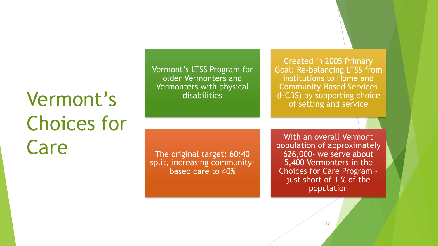## Vermont's Choices for Care

Vermont's LTSS Program for older Vermonters and Vermonters with physical disabilities

Created in 2005 Primary Goal: Re-balancing LTSS from institutions to Home and Community-Based Services (HCBS) by supporting choice of setting and service

The original target: 60:40 split, increasing communitybased care to 40%

With an overall Vermont population of approximately 626,000- we serve about 5,400 Vermonters in the Choices for Care Program just short of 1 % of the population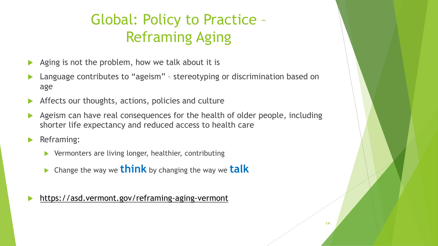#### Global: Policy to Practice – Reframing Aging

- Aging is not the problem, how we talk about it is
- Language contributes to "ageism" stereotyping or discrimination based on age
- Affects our thoughts, actions, policies and culture
- Ageism can have real consequences for the health of older people, including shorter life expectancy and reduced access to health care
- **Reframing:** 
	- Vermonters are living longer, healthier, contributing
	- Change the way we **think** by changing the way we **talk**

<https://asd.vermont.gov/reframing-aging-vermont>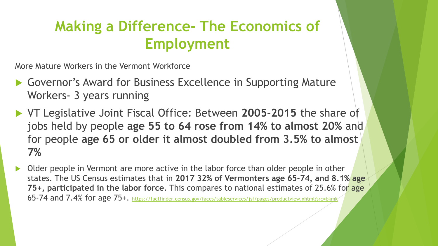#### **Making a Difference- The Economics of Employment**

More Mature Workers in the Vermont Workforce

- ▶ Governor's Award for Business Excellence in Supporting Mature Workers- 3 years running
- VT Legislative Joint Fiscal Office: Between **2005-2015** the share of jobs held by people **age 55 to 64 rose from 14% to almost 20%** and for people **age 65 or older it almost doubled from 3.5% to almost 7%**
- Older people in Vermont are more active in the labor force than older people in other states. The US Census estimates that in **2017 32% of Vermonters age 65-74, and 8.1% age 75+, participated in the labor force**. This compares to national estimates of 25.6% for age 65-74 and 7.4% for age 75+. <https://factfinder.census.gov/faces/tableservices/jsf/pages/productview.xhtml?src=bkmk>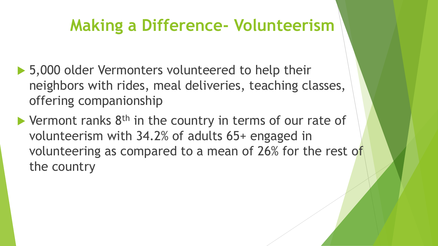#### **Making a Difference- Volunteerism**

- ▶ 5,000 older Vermonters volunteered to help their neighbors with rides, meal deliveries, teaching classes, offering companionship
- $\blacktriangleright$  Vermont ranks  $8^{\text{th}}$  in the country in terms of our rate of volunteerism with 34.2% of adults 65+ engaged in volunteering as compared to a mean of 26% for the rest of the country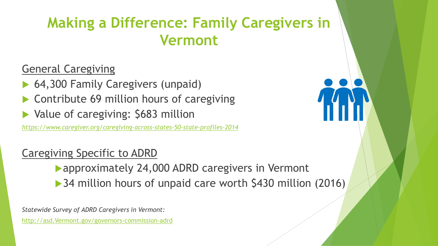#### **Making a Difference: Family Caregivers in Vermont**

General Caregiving

- 64,300 Family Caregivers (unpaid)
- Contribute 69 million hours of caregiving
- Value of caregiving: \$683 million

*<https://www.caregiver.org/caregiving-across-states-50-state-profiles-2014>*

#### Caregiving Specific to ADRD

approximately 24,000 ADRD caregivers in Vermont

▶ 34 million hours of unpaid care worth \$430 million (2016)

*Statewide Survey of ADRD Caregivers in Vermont:* 

[http://asd.Vermont.gov/governors-commission-adrd](http://asd.vermont.gov/governors-commission-adrd)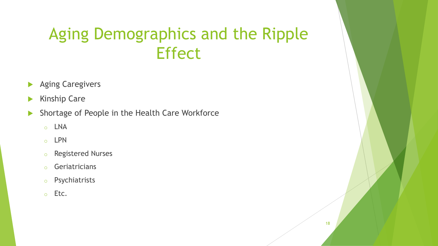#### Aging Demographics and the Ripple **Effect**

- **Aging Caregivers**
- $\blacktriangleright$  Kinship Care
- Shortage of People in the Health Care Workforce
	- o LNA
	- o LPN
	- o Registered Nurses
	- o Geriatricians
	- o Psychiatrists
	- o Etc.